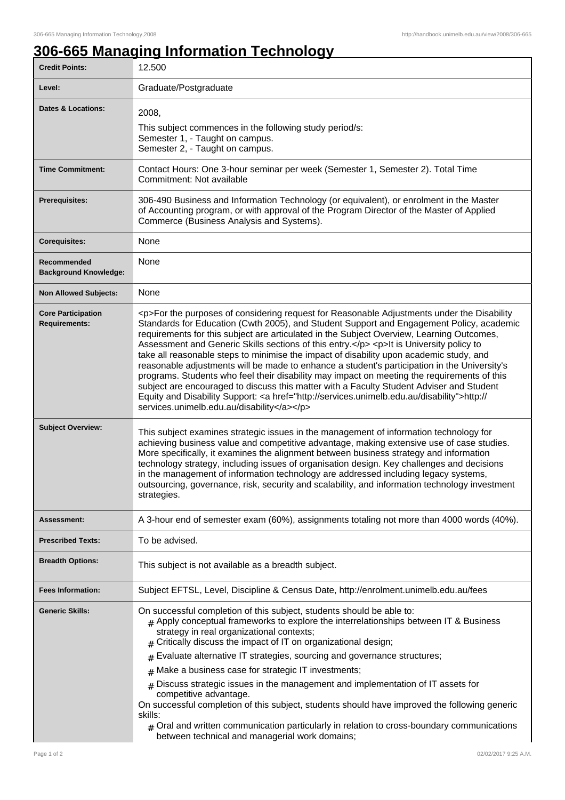## **306-665 Managing Information Technology**

| <b>Credit Points:</b>                             | 12.500                                                                                                                                                                                                                                                                                                                                                                                                                                                                                                                                                                                                                                                                                                                                                                                                                                                                                                                    |
|---------------------------------------------------|---------------------------------------------------------------------------------------------------------------------------------------------------------------------------------------------------------------------------------------------------------------------------------------------------------------------------------------------------------------------------------------------------------------------------------------------------------------------------------------------------------------------------------------------------------------------------------------------------------------------------------------------------------------------------------------------------------------------------------------------------------------------------------------------------------------------------------------------------------------------------------------------------------------------------|
| Level:                                            | Graduate/Postgraduate                                                                                                                                                                                                                                                                                                                                                                                                                                                                                                                                                                                                                                                                                                                                                                                                                                                                                                     |
| <b>Dates &amp; Locations:</b>                     | 2008,<br>This subject commences in the following study period/s:<br>Semester 1, - Taught on campus.<br>Semester 2, - Taught on campus.                                                                                                                                                                                                                                                                                                                                                                                                                                                                                                                                                                                                                                                                                                                                                                                    |
| <b>Time Commitment:</b>                           | Contact Hours: One 3-hour seminar per week (Semester 1, Semester 2). Total Time<br>Commitment: Not available                                                                                                                                                                                                                                                                                                                                                                                                                                                                                                                                                                                                                                                                                                                                                                                                              |
| <b>Prerequisites:</b>                             | 306-490 Business and Information Technology (or equivalent), or enrolment in the Master<br>of Accounting program, or with approval of the Program Director of the Master of Applied<br>Commerce (Business Analysis and Systems).                                                                                                                                                                                                                                                                                                                                                                                                                                                                                                                                                                                                                                                                                          |
| <b>Corequisites:</b>                              | None                                                                                                                                                                                                                                                                                                                                                                                                                                                                                                                                                                                                                                                                                                                                                                                                                                                                                                                      |
| Recommended<br><b>Background Knowledge:</b>       | None                                                                                                                                                                                                                                                                                                                                                                                                                                                                                                                                                                                                                                                                                                                                                                                                                                                                                                                      |
| <b>Non Allowed Subjects:</b>                      | None                                                                                                                                                                                                                                                                                                                                                                                                                                                                                                                                                                                                                                                                                                                                                                                                                                                                                                                      |
| <b>Core Participation</b><br><b>Requirements:</b> | <p>For the purposes of considering request for Reasonable Adjustments under the Disability<br/>Standards for Education (Cwth 2005), and Student Support and Engagement Policy, academic<br/>requirements for this subject are articulated in the Subject Overview, Learning Outcomes,<br/>Assessment and Generic Skills sections of this entry.</p> <p>lt is University policy to<br/>take all reasonable steps to minimise the impact of disability upon academic study, and<br/>reasonable adjustments will be made to enhance a student's participation in the University's<br/>programs. Students who feel their disability may impact on meeting the requirements of this<br/>subject are encouraged to discuss this matter with a Faculty Student Adviser and Student<br/>Equity and Disability Support: <a href="http://services.unimelb.edu.au/disability">http://<br/>services.unimelb.edu.au/disability</a></p> |
| <b>Subject Overview:</b>                          | This subject examines strategic issues in the management of information technology for<br>achieving business value and competitive advantage, making extensive use of case studies.<br>More specifically, it examines the alignment between business strategy and information<br>technology strategy, including issues of organisation design. Key challenges and decisions<br>in the management of information technology are addressed including legacy systems,<br>outsourcing, governance, risk, security and scalability, and information technology investment<br>strategies.                                                                                                                                                                                                                                                                                                                                       |
| Assessment:                                       | A 3-hour end of semester exam (60%), assignments totaling not more than 4000 words (40%).                                                                                                                                                                                                                                                                                                                                                                                                                                                                                                                                                                                                                                                                                                                                                                                                                                 |
| <b>Prescribed Texts:</b>                          | To be advised.                                                                                                                                                                                                                                                                                                                                                                                                                                                                                                                                                                                                                                                                                                                                                                                                                                                                                                            |
| <b>Breadth Options:</b>                           | This subject is not available as a breadth subject.                                                                                                                                                                                                                                                                                                                                                                                                                                                                                                                                                                                                                                                                                                                                                                                                                                                                       |
| <b>Fees Information:</b>                          | Subject EFTSL, Level, Discipline & Census Date, http://enrolment.unimelb.edu.au/fees                                                                                                                                                                                                                                                                                                                                                                                                                                                                                                                                                                                                                                                                                                                                                                                                                                      |
| <b>Generic Skills:</b>                            | On successful completion of this subject, students should be able to:<br>$#$ Apply conceptual frameworks to explore the interrelationships between IT & Business<br>strategy in real organizational contexts;<br>$#$ Critically discuss the impact of IT on organizational design;<br>Evaluate alternative IT strategies, sourcing and governance structures;<br>#<br>Make a business case for strategic IT investments;<br>#<br>Discuss strategic issues in the management and implementation of IT assets for<br>$\pm$<br>competitive advantage.<br>On successful completion of this subject, students should have improved the following generic                                                                                                                                                                                                                                                                       |
|                                                   | skills:<br>$_{\#}$ Oral and written communication particularly in relation to cross-boundary communications<br>between technical and managerial work domains;                                                                                                                                                                                                                                                                                                                                                                                                                                                                                                                                                                                                                                                                                                                                                             |